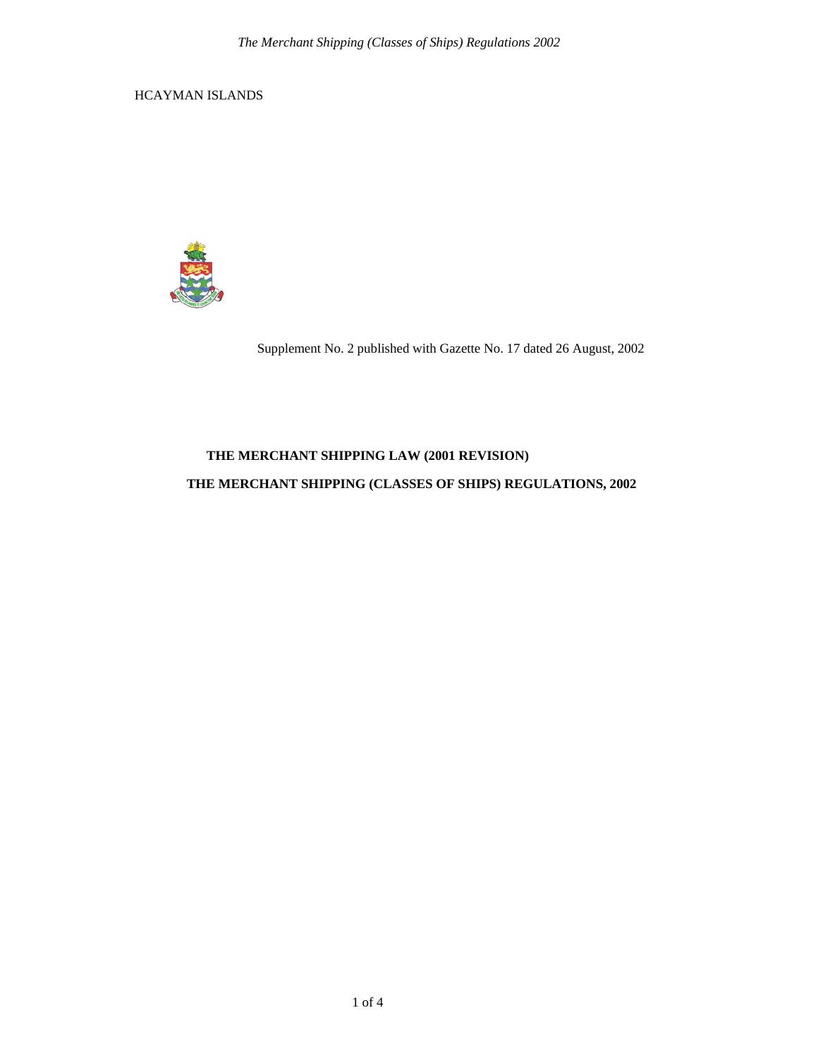HCAYMAN ISLANDS



Supplement No. 2 published with Gazette No. 17 dated 26 August, 2002

# **THE MERCHANT SHIPPING LAW (2001 REVISION)**

### **THE MERCHANT SHIPPING (CLASSES OF SHIPS) REGULATIONS, 2002**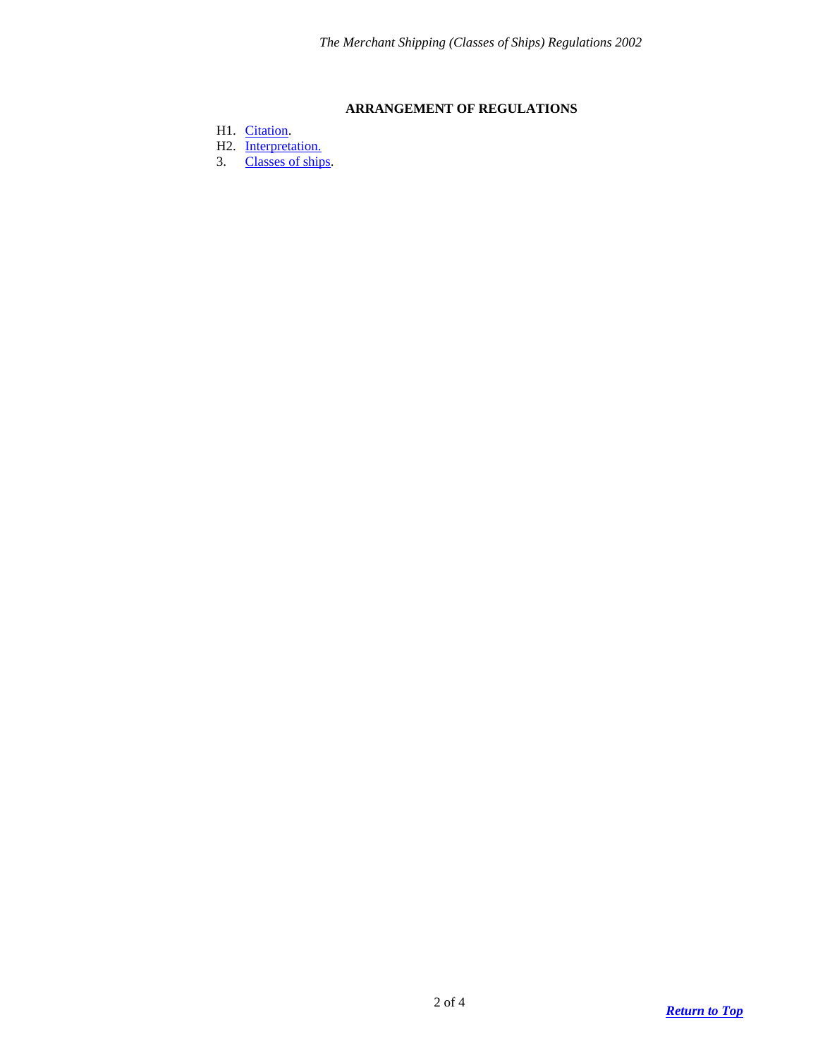## **ARRANGEMENT OF REGULATIONS**

- <span id="page-1-0"></span>H1. [Citation.](#page-2-0)
- H<sub>2</sub>. [Interpretation.](#page-2-1)
- 3. [Classes of ships.](#page-2-2)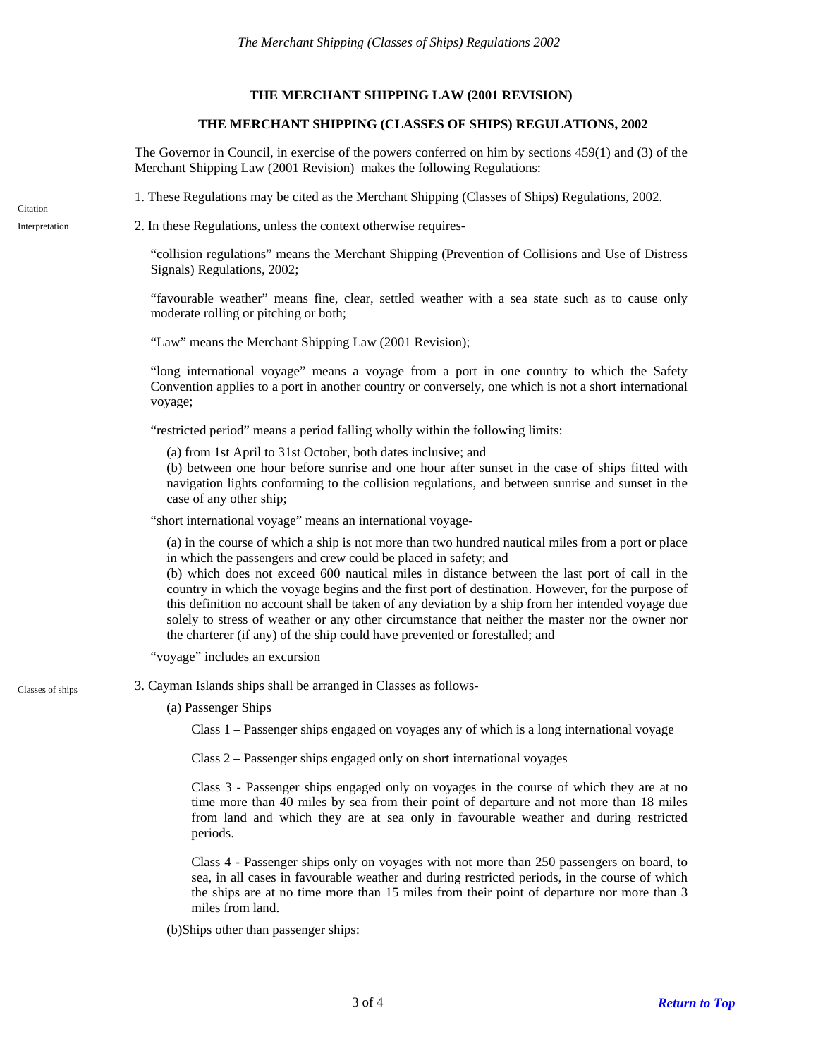#### **THE MERCHANT SHIPPING LAW (2001 REVISION)**

#### **THE MERCHANT SHIPPING (CLASSES OF SHIPS) REGULATIONS, 2002**

The Governor in Council, in exercise of the powers conferred on him by sections 459(1) and (3) of the Merchant Shipping Law (2001 Revision) makes the following Regulations:

<span id="page-2-1"></span><span id="page-2-0"></span>1. These Regulations may be cited as the Merchant Shipping (Classes of Ships) Regulations, 2002. Citation Interpretation 2. In these Regulations, unless the context otherwise requires- "collision regulations" means the Merchant Shipping (Prevention of Collisions and Use of Distress Signals) Regulations, 2002; "favourable weather" means fine, clear, settled weather with a sea state such as to cause only moderate rolling or pitching or both; "Law" means the Merchant Shipping Law (2001 Revision); "long international voyage" means a voyage from a port in one country to which the Safety Convention applies to a port in another country or conversely, one which is not a short international voyage; "restricted period" means a period falling wholly within the following limits: (a) from 1st April to 31st October, both dates inclusive; and (b) between one hour before sunrise and one hour after sunset in the case of ships fitted with navigation lights conforming to the collision regulations, and between sunrise and sunset in the case of any other ship; "short international voyage" means an international voyage- (a) in the course of which a ship is not more than two hundred nautical miles from a port or place in which the passengers and crew could be placed in safety; and (b) which does not exceed 600 nautical miles in distance between the last port of call in the country in which the voyage begins and the first port of destination. However, for the purpose of this definition no account shall be taken of any deviation by a ship from her intended voyage due solely to stress of weather or any other circumstance that neither the master nor the owner nor the charterer (if any) of the ship could have prevented or forestalled; and "voyage" includes an excursion Classes of ships 3. Cayman Islands ships shall be arranged in Classes as follows-(a) Passenger Ships Class 1 – Passenger ships engaged on voyages any of which is a long international voyage Class 2 – Passenger ships engaged only on short international voyages Class 3 - Passenger ships engaged only on voyages in the course of which they are at no time more than 40 miles by sea from their point of departure and not more than 18 miles from land and which they are at sea only in favourable weather and during restricted periods.

> <span id="page-2-2"></span>Class 4 - Passenger ships only on voyages with not more than 250 passengers on board, to sea, in all cases in favourable weather and during restricted periods, in the course of which the ships are at no time more than 15 miles from their point of departure nor more than 3 miles from land.

(b)Ships other than passenger ships: